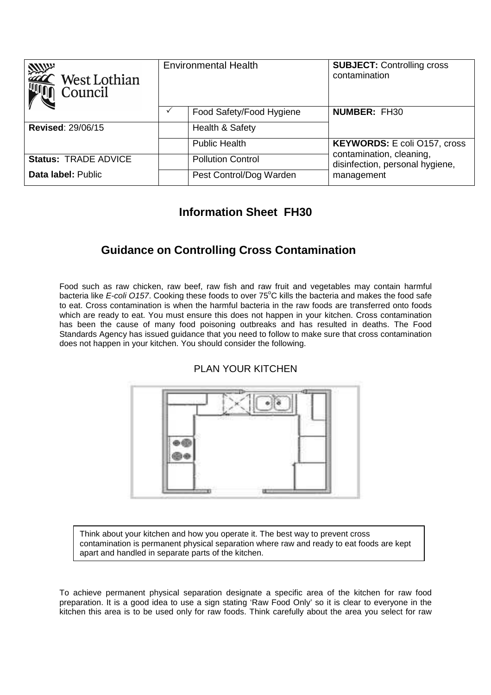| <b>RANGE SERVICE</b><br>West Lothian<br>Council | <b>Environmental Health</b> |                          | <b>SUBJECT: Controlling cross</b><br>contamination                        |
|-------------------------------------------------|-----------------------------|--------------------------|---------------------------------------------------------------------------|
|                                                 |                             | Food Safety/Food Hygiene | <b>NUMBER: FH30</b>                                                       |
| <b>Revised: 29/06/15</b>                        |                             | Health & Safety          |                                                                           |
|                                                 |                             | <b>Public Health</b>     | <b>KEYWORDS:</b> E coli O157, cross                                       |
| <b>Status: TRADE ADVICE</b>                     |                             | <b>Pollution Control</b> | contamination, cleaning,<br>disinfection, personal hygiene,<br>management |
| Data label: Public                              |                             | Pest Control/Dog Warden  |                                                                           |

## **Information Sheet FH30**

# **Guidance on Controlling Cross Contamination**

Food such as raw chicken, raw beef, raw fish and raw fruit and vegetables may contain harmful bacteria like E-coli O157. Cooking these foods to over 75°C kills the bacteria and makes the food safe to eat. Cross contamination is when the harmful bacteria in the raw foods are transferred onto foods which are ready to eat. You must ensure this does not happen in your kitchen. Cross contamination has been the cause of many food poisoning outbreaks and has resulted in deaths. The Food Standards Agency has issued guidance that you need to follow to make sure that cross contamination does not happen in your kitchen. You should consider the following.



PLAN YOUR KITCHEN

Think about your kitchen and how you operate it. The best way to prevent cross contamination is permanent physical separation where raw and ready to eat foods are kept apart and handled in separate parts of the kitchen.

To achieve permanent physical separation designate a specific area of the kitchen for raw food preparation. It is a good idea to use a sign stating 'Raw Food Only' so it is clear to everyone in the kitchen this area is to be used only for raw foods. Think carefully about the area you select for raw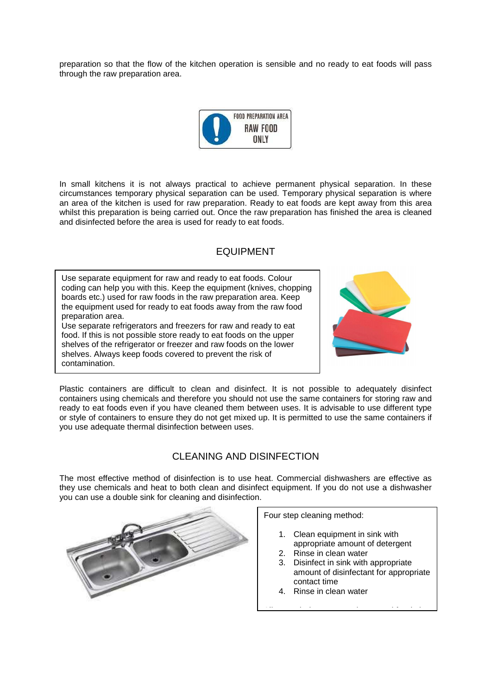preparation so that the flow of the kitchen operation is sensible and no ready to eat foods will pass through the raw preparation area.



In small kitchens it is not always practical to achieve permanent physical separation. In these circumstances temporary physical separation can be used. Temporary physical separation is where an area of the kitchen is used for raw preparation. Ready to eat foods are kept away from this area whilst this preparation is being carried out. Once the raw preparation has finished the area is cleaned and disinfected before the area is used for ready to eat foods.

### EQUIPMENT

Use separate equipment for raw and ready to eat foods. Colour coding can help you with this. Keep the equipment (knives, chopping boards etc.) used for raw foods in the raw preparation area. Keep the equipment used for ready to eat foods away from the raw food preparation area.

Use separate refrigerators and freezers for raw and ready to eat food. If this is not possible store ready to eat foods on the upper shelves of the refrigerator or freezer and raw foods on the lower shelves. Always keep foods covered to prevent the risk of contamination.



Plastic containers are difficult to clean and disinfect. It is not possible to adequately disinfect containers using chemicals and therefore you should not use the same containers for storing raw and ready to eat foods even if you have cleaned them between uses. It is advisable to use different type or style of containers to ensure they do not get mixed up. It is permitted to use the same containers if you use adequate thermal disinfection between uses.

## CLEANING AND DISINFECTION

The most effective method of disinfection is to use heat. Commercial dishwashers are effective as they use chemicals and heat to both clean and disinfect equipment. If you do not use a dishwasher you can use a double sink for cleaning and disinfection.



Four step cleaning method:

- 1. Clean equipment in sink with appropriate amount of detergent
- 2. Rinse in clean water
- 3. Disinfect in sink with appropriate amount of disinfectant for appropriate contact time

Allow to air dry or use a clean towel for drying

4. Rinse in clean water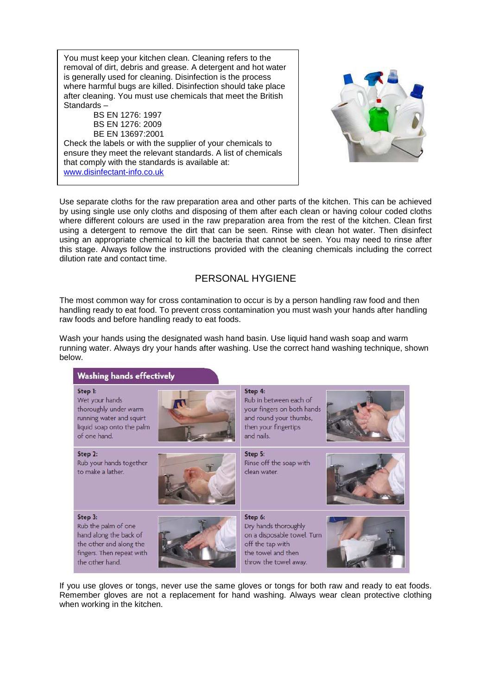You must keep your kitchen clean. Cleaning refers to the removal of dirt, debris and grease. A detergent and hot water is generally used for cleaning. Disinfection is the process where harmful bugs are killed. Disinfection should take place after cleaning. You must use chemicals that meet the British Standards –

BS EN 1276: 1997 BS EN 1276: 2009 BE EN 13697:2001

.

ensure they meet the relevant standards. A ils<br>that comply with the standards is available at: Check the labels or with the supplier of your chemicals to ensure they meet the relevant standards. A list of chemicals www.disinfectant-info.co.uk



Use separate cloths for the raw preparation area and other parts of the kitchen. This can be achieved by using single use only cloths and disposing of them after each clean or having colour coded cloths where different colours are used in the raw preparation area from the rest of the kitchen. Clean first using a detergent to remove the dirt that can be seen. Rinse with clean hot water. Then disinfect using an appropriate chemical to kill the bacteria that cannot be seen. You may need to rinse after this stage. Always follow the instructions provided with the cleaning chemicals including the correct dilution rate and contact time.

### PERSONAL HYGIENE

The most common way for cross contamination to occur is by a person handling raw food and then handling ready to eat food. To prevent cross contamination you must wash your hands after handling raw foods and before handling ready to eat foods.

Wash your hands using the designated wash hand basin. Use liquid hand wash soap and warm running water. Always dry your hands after washing. Use the correct hand washing technique, shown below.



If you use gloves or tongs, never use the same gloves or tongs for both raw and ready to eat foods. Remember gloves are not a replacement for hand washing. Always wear clean protective clothing when working in the kitchen.